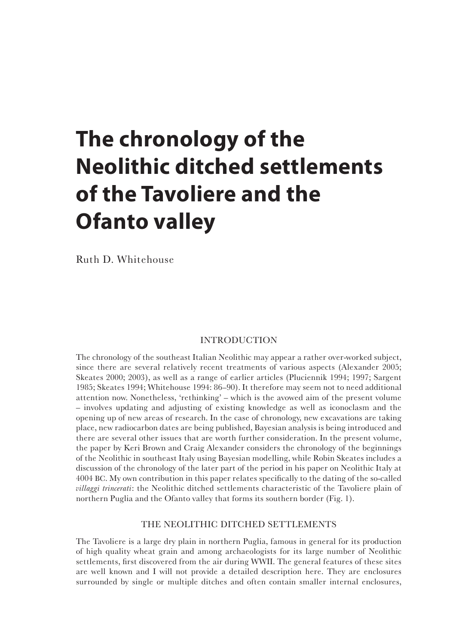# **The chronology of the Neolithic ditched settlements of the Tavoliere and the Ofanto valley**

Ruth D. Whitehouse

# INTRODUCTION

The chronology of the southeast Italian Neolithic may appear a rather over-worked subject, since there are several relatively recent treatments of various aspects (Alexander 2005; Skeates 2000; 2003), as well as a range of earlier articles (Pluciennik 1994; 1997; Sargent 1985; Skeates 1994; Whitehouse 1994: 86–90). It therefore may seem not to need additional attention now. Nonetheless, 'rethinking' – which is the avowed aim of the present volume – involves updating and adjusting of existing knowledge as well as iconoclasm and the opening up of new areas of research. In the case of chronology, new excavations are taking place, new radiocarbon dates are being published, Bayesian analysis is being introduced and there are several other issues that are worth further consideration. In the present volume, the paper by Keri Brown and Craig Alexander considers the chronology of the beginnings of the Neolithic in southeast Italy using Bayesian modelling, while Robin Skeates includes a discussion of the chronology of the later part of the period in his paper on Neolithic Italy at 4004 BC. My own contribution in this paper relates specifically to the dating of the so-called *villaggi trincerati*: the Neolithic ditched settlements characteristic of the Tavoliere plain of northern Puglia and the Ofanto valley that forms its southern border (Fig. 1).

# THE NEOLITHIC DITCHED SETTLEMENTS

The Tavoliere is a large dry plain in northern Puglia, famous in general for its production of high quality wheat grain and among archaeologists for its large number of Neolithic settlements, first discovered from the air during WWII. The general features of these sites are well known and I will not provide a detailed description here. They are enclosures surrounded by single or multiple ditches and often contain smaller internal enclosures,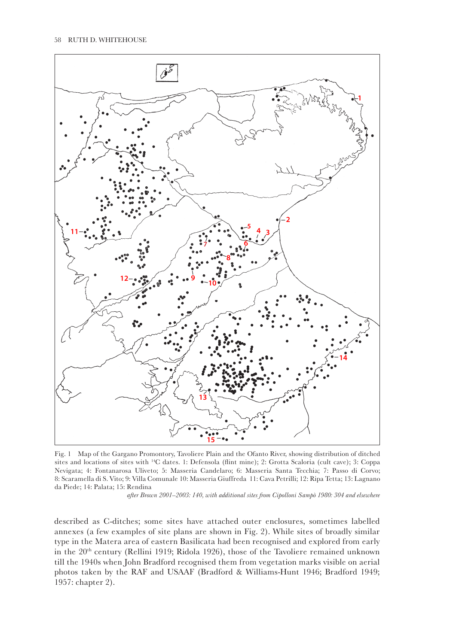

Fig. 1 Map of the Gargano Promontory, Tavoliere Plain and the Ofanto River, showing distribution of ditched sites and locations of sites with 14C dates. 1: Defensola (flint mine); 2: Grotta Scaloria (cult cave); 3: Coppa Nevigata; 4: Fontanarosa Uliveto; 5: Masseria Candelaro; 6: Masseria Santa Tecchia; 7: Passo di Corvo; 8: Scaramella di S. Vito; 9: Villa Comunale 10: Masseria Giuffreda 11: Cava Petrilli; 12: Ripa Tetta; 13: Lagnano da Piede; 14: Palata; 15: Rendina

 *after Brown 2001–2003: 140, with additional sites from Cipolloni Sampò 1980: 304 and elsewhere*

described as C-ditches; some sites have attached outer enclosures, sometimes labelled annexes (a few examples of site plans are shown in Fig. 2). While sites of broadly similar type in the Matera area of eastern Basilicata had been recognised and explored from early in the 20<sup>th</sup> century (Rellini 1919; Ridola 1926), those of the Tavoliere remained unknown till the 1940s when John Bradford recognised them from vegetation marks visible on aerial photos taken by the RAF and USAAF (Bradford & Williams-Hunt 1946; Bradford 1949; 1957: chapter 2).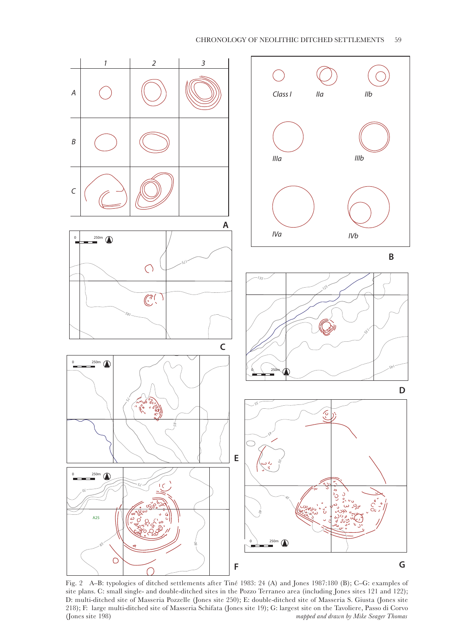

Fig. 2 A–B: typologies of ditched settlements after Tiné 1983: 24 (A) and Jones 1987:180 (B); C–G: examples of site plans. C: small single- and double-ditched sites in the Pozzo Terraneo area (including Jones sites 121 and 122); D: multi-ditched site of Masseria Pozzelle (Jones site 250); E: double-ditched site of Masseria S. Giusta (Jones site 218); F: large multi-ditched site of Masseria Schifata (Jones site 19); G: largest site on the Tavoliere, Passo di Corvo (Jones site 198) *mapped and drawn by Mike Seager Thomas*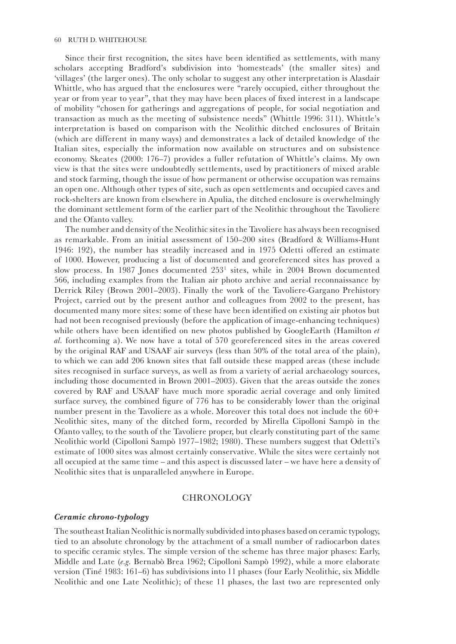Since their first recognition, the sites have been identified as settlements, with many scholars accepting Bradford's subdivision into 'homesteads' (the smaller sites) and 'villages' (the larger ones). The only scholar to suggest any other interpretation is Alasdair Whittle, who has argued that the enclosures were "rarely occupied, either throughout the year or from year to year", that they may have been places of fixed interest in a landscape of mobility "chosen for gatherings and aggregations of people, for social negotiation and transaction as much as the meeting of subsistence needs" (Whittle 1996: 311). Whittle's interpretation is based on comparison with the Neolithic ditched enclosures of Britain (which are different in many ways) and demonstrates a lack of detailed knowledge of the Italian sites, especially the information now available on structures and on subsistence economy. Skeates (2000: 176–7) provides a fuller refutation of Whittle's claims. My own view is that the sites were undoubtedly settlements, used by practitioners of mixed arable and stock farming, though the issue of how permanent or otherwise occupation was remains an open one. Although other types of site, such as open settlements and occupied caves and rock-shelters are known from elsewhere in Apulia, the ditched enclosure is overwhelmingly the dominant settlement form of the earlier part of the Neolithic throughout the Tavoliere and the Ofanto valley.

The number and density of the Neolithic sites in the Tavoliere has always been recognised as remarkable. From an initial assessment of 150–200 sites (Bradford & Williams-Hunt 1946: 192), the number has steadily increased and in 1975 Odetti offered an estimate of 1000. However, producing a list of documented and georeferenced sites has proved a slow process. In 1987 Jones documented 253<sup>1</sup> sites, while in 2004 Brown documented 566, including examples from the Italian air photo archive and aerial reconnaissance by Derrick Riley (Brown 2001–2003). Finally the work of the Tavoliere-Gargano Prehistory Project, carried out by the present author and colleagues from 2002 to the present, has documented many more sites: some of these have been identified on existing air photos but had not been recognised previously (before the application of image-enhancing techniques) while others have been identified on new photos published by GoogleEarth (Hamilton *et al.* forthcoming a). We now have a total of 570 georeferenced sites in the areas covered by the original RAF and USAAF air surveys (less than 50% of the total area of the plain), to which we can add 206 known sites that fall outside these mapped areas (these include sites recognised in surface surveys, as well as from a variety of aerial archaeology sources, including those documented in Brown 2001–2003). Given that the areas outside the zones covered by RAF and USAAF have much more sporadic aerial coverage and only limited surface survey, the combined figure of 776 has to be considerably lower than the original number present in the Tavoliere as a whole. Moreover this total does not include the 60+ Neolithic sites, many of the ditched form, recorded by Mirella Cipolloni Sampò in the Ofanto valley, to the south of the Tavoliere proper, but clearly constituting part of the same Neolithic world (Cipolloni Sampò 1977–1982; 1980). These numbers suggest that Odetti's estimate of 1000 sites was almost certainly conservative. While the sites were certainly not all occupied at the same time – and this aspect is discussed later – we have here a density of Neolithic sites that is unparalleled anywhere in Europe.

## **CHRONOLOGY**

#### *Ceramic chrono-typology*

The southeast Italian Neolithic is normally subdivided into phases based on ceramic typology, tied to an absolute chronology by the attachment of a small number of radiocarbon dates to specific ceramic styles. The simple version of the scheme has three major phases: Early, Middle and Late (*e.g.* Bernabò Brea 1962; Cipolloni Sampò 1992), while a more elaborate version (Tiné 1983: 161–6) has subdivisions into 11 phases (four Early Neolithic, six Middle Neolithic and one Late Neolithic); of these 11 phases, the last two are represented only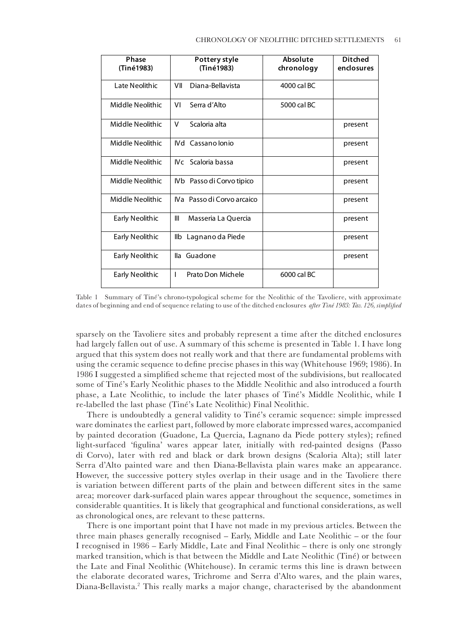| Phase            | Pottery style              | Absolute    | <b>Ditched</b> |
|------------------|----------------------------|-------------|----------------|
| (Tiné1983)       | (Tiné1983)                 | chronology  | enclosures     |
| Late Neolithic   | Diana-Bellavista<br>VII    | 4000 cal BC |                |
| Middle Neolithic | Serra d'Alto<br>VI         | 5000 cal BC |                |
| Middle Neolithic | Scaloria alta<br>V         |             | present        |
| Middle Neolithic | <b>IVd</b> Cassano Ionio   |             | present        |
| Middle Neolithic | IVc Scaloria bassa         |             | present        |
| Middle Neolithic | IVb Passo di Corvo tipico  |             | present        |
| Middle Neolithic | IVa Passo di Corvo arcaico |             | present        |
| Early Neolithic  | Ш<br>Masseria La Ouercia   |             | present        |
| Early Neolithic  | Ilb Lagnano da Piede       |             | present        |
| Early Neolithic  | lla Guadone                |             | present        |
| Early Neolithic  | Prato Don Michele<br>I     | 6000 cal BC |                |

Table 1 Summary of Tiné's chrono-typological scheme for the Neolithic of the Tavoliere, with approximate dates of beginning and end of sequence relating to use of the ditched enclosures *after Tiné 1983: Tav. 126, simplified*

sparsely on the Tavoliere sites and probably represent a time after the ditched enclosures had largely fallen out of use. A summary of this scheme is presented in Table 1. I have long argued that this system does not really work and that there are fundamental problems with using the ceramic sequence to define precise phases in this way (Whitehouse 1969; 1986). In 1986 I suggested a simplified scheme that rejected most of the subdivisions, but reallocated some of Tiné's Early Neolithic phases to the Middle Neolithic and also introduced a fourth phase, a Late Neolithic, to include the later phases of Tiné's Middle Neolithic, while I re-labelled the last phase (Tiné's Late Neolithic) Final Neolithic.

There is undoubtedly a general validity to Tiné's ceramic sequence: simple impressed ware dominates the earliest part, followed by more elaborate impressed wares, accompanied by painted decoration (Guadone, La Quercia, Lagnano da Piede pottery styles); refined light-surfaced 'figulina' wares appear later, initially with red-painted designs (Passo di Corvo), later with red and black or dark brown designs (Scaloria Alta); still later Serra d'Alto painted ware and then Diana-Bellavista plain wares make an appearance. However, the successive pottery styles overlap in their usage and in the Tavoliere there is variation between different parts of the plain and between different sites in the same area; moreover dark-surfaced plain wares appear throughout the sequence, sometimes in considerable quantities. It is likely that geographical and functional considerations, as well as chronological ones, are relevant to these patterns.

There is one important point that I have not made in my previous articles. Between the three main phases generally recognised – Early, Middle and Late Neolithic – or the four I recognised in 1986 – Early Middle, Late and Final Neolithic – there is only one strongly marked transition, which is that between the Middle and Late Neolithic (Tiné) or between the Late and Final Neolithic (Whitehouse). In ceramic terms this line is drawn between the elaborate decorated wares, Trichrome and Serra d'Alto wares, and the plain wares, Diana-Bellavista.2 This really marks a major change, characterised by the abandonment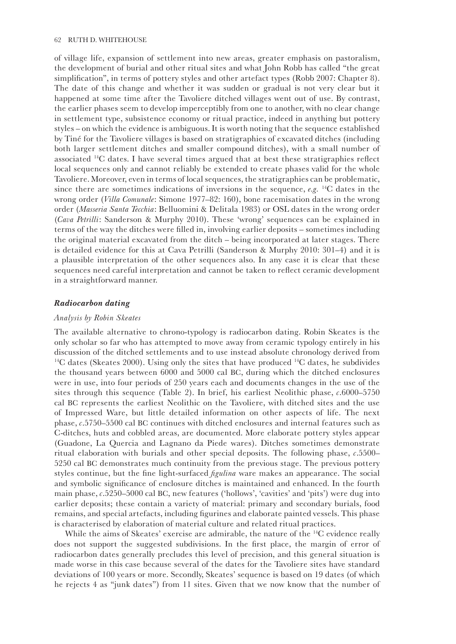of village life, expansion of settlement into new areas, greater emphasis on pastoralism, the development of burial and other ritual sites and what John Robb has called "the great simplification", in terms of pottery styles and other artefact types (Robb 2007: Chapter 8). The date of this change and whether it was sudden or gradual is not very clear but it happened at some time after the Tavoliere ditched villages went out of use. By contrast, the earlier phases seem to develop imperceptibly from one to another, with no clear change in settlement type, subsistence economy or ritual practice, indeed in anything but pottery styles – on which the evidence is ambiguous. It is worth noting that the sequence established by Tiné for the Tavoliere villages is based on stratigraphies of excavated ditches (including both larger settlement ditches and smaller compound ditches), with a small number of associated 14C dates. I have several times argued that at best these stratigraphies reflect local sequences only and cannot reliably be extended to create phases valid for the whole Tavoliere. Moreover, even in terms of local sequences, the stratigraphies can be problematic, since there are sometimes indications of inversions in the sequence, *e.g.* 14C dates in the wrong order (*Villa Comunale*: Simone 1977–82: 160), bone racemisation dates in the wrong order (*Masseria Santa Tecchia*: Belluomini & Delitala 1983) or OSL dates in the wrong order (*Cava Petrilli*: Sanderson & Murphy 2010). These 'wrong' sequences can be explained in terms of the way the ditches were filled in, involving earlier deposits – sometimes including the original material excavated from the ditch – being incorporated at later stages. There is detailed evidence for this at Cava Petrilli (Sanderson & Murphy 2010: 301–4) and it is a plausible interpretation of the other sequences also. In any case it is clear that these sequences need careful interpretation and cannot be taken to reflect ceramic development in a straightforward manner.

## *Radiocarbon dating*

#### *Analysis by Robin Skeates*

The available alternative to chrono-typology is radiocarbon dating. Robin Skeates is the only scholar so far who has attempted to move away from ceramic typology entirely in his discussion of the ditched settlements and to use instead absolute chronology derived from <sup>14</sup>C dates (Skeates 2000). Using only the sites that have produced <sup>14</sup>C dates, he subdivides the thousand years between 6000 and 5000 cal BC, during which the ditched enclosures were in use, into four periods of 250 years each and documents changes in the use of the sites through this sequence (Table 2). In brief, his earliest Neolithic phase,  $c.6000-5750$ cal BC represents the earliest Neolithic on the Tavoliere, with ditched sites and the use of Impressed Ware, but little detailed information on other aspects of life. The next phase, *c*.5750–5500 cal BC continues with ditched enclosures and internal features such as C-ditches, huts and cobbled areas, are documented. More elaborate pottery styles appear (Guadone, La Quercia and Lagnano da Piede wares). Ditches sometimes demonstrate ritual elaboration with burials and other special deposits. The following phase, *c*.5500– 5250 cal BC demonstrates much continuity from the previous stage. The previous pottery styles continue, but the fine light-surfaced *figulina* ware makes an appearance. The social and symbolic significance of enclosure ditches is maintained and enhanced. In the fourth main phase, *c*.5250–5000 cal BC, new features ('hollows', 'cavities' and 'pits') were dug into earlier deposits; these contain a variety of material: primary and secondary burials, food remains, and special artefacts, including figurines and elaborate painted vessels. This phase is characterised by elaboration of material culture and related ritual practices.

While the aims of Skeates' exercise are admirable, the nature of the <sup>14</sup>C evidence really does not support the suggested subdivisions. In the first place, the margin of error of radiocarbon dates generally precludes this level of precision, and this general situation is made worse in this case because several of the dates for the Tavoliere sites have standard deviations of 100 years or more. Secondly, Skeates' sequence is based on 19 dates (of which he rejects 4 as "junk dates") from 11 sites. Given that we now know that the number of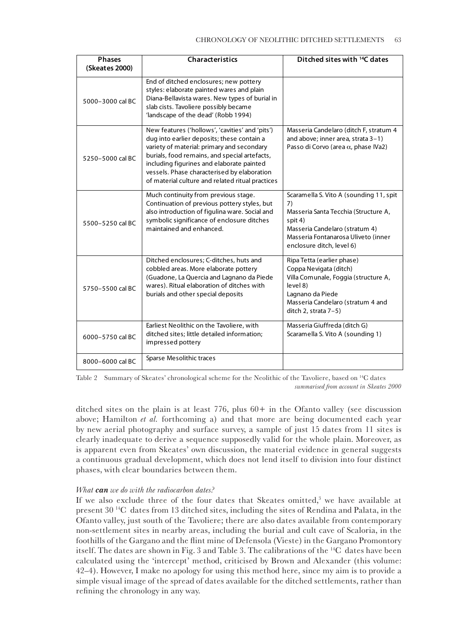| <b>Phases</b><br>(Skeates 2000) | <b>Characteristics</b>                                                                                                                                                                                                                                                                                                                       | Ditched sites with <sup>14</sup> C dates                                                                                                                                                               |
|---------------------------------|----------------------------------------------------------------------------------------------------------------------------------------------------------------------------------------------------------------------------------------------------------------------------------------------------------------------------------------------|--------------------------------------------------------------------------------------------------------------------------------------------------------------------------------------------------------|
| 5000-3000 cal BC                | End of ditched enclosures; new pottery<br>styles: elaborate painted wares and plain<br>Diana-Bellavista wares. New types of burial in<br>slab cists. Tavoliere possibly became<br>'landscape of the dead' (Robb 1994)                                                                                                                        |                                                                                                                                                                                                        |
| 5250-5000 cal BC                | New features ('hollows', 'cavities' and 'pits')<br>dug into earlier deposits; these contain a<br>variety of material: primary and secondary<br>burials, food remains, and special artefacts,<br>including figurines and elaborate painted<br>vessels. Phase characterised by elaboration<br>of material culture and related ritual practices | Masseria Candelaro (ditch F, stratum 4<br>and above; inner area, strata 3-1)<br>Passo di Corvo (area $\alpha$ , phase IVa2)                                                                            |
| 5500-5250 cal BC                | Much continuity from previous stage.<br>Continuation of previous pottery styles, but<br>also introduction of figulina ware. Social and<br>symbolic significance of enclosure ditches<br>maintained and enhanced.                                                                                                                             | Scaramella S. Vito A (sounding 11, spit<br>7)<br>Masseria Santa Tecchia (Structure A,<br>spit 4)<br>Masseria Candelaro (stratum 4)<br>Masseria Fontanarosa Uliveto (inner<br>enclosure ditch, level 6) |
| 5750-5500 cal BC                | Ditched enclosures; C-ditches, huts and<br>cobbled areas. More elaborate pottery<br>(Guadone, La Quercia and Lagnano da Piede<br>wares). Ritual elaboration of ditches with<br>burials and other special deposits                                                                                                                            | Ripa Tetta (earlier phase)<br>Coppa Nevigata (ditch)<br>Villa Comunale, Foggia (structure A,<br>level 8)<br>Lagnano da Piede<br>Masseria Candelaro (stratum 4 and<br>ditch 2, strata 7-5)              |
| 6000-5750 cal BC                | Earliest Neolithic on the Tavoliere, with<br>ditched sites; little detailed information;<br>impressed pottery                                                                                                                                                                                                                                | Masseria Giuffreda (ditch G)<br>Scaramella S. Vito A (sounding 1)                                                                                                                                      |
| 8000-6000 cal BC                | Sparse Mesolithic traces                                                                                                                                                                                                                                                                                                                     |                                                                                                                                                                                                        |

Table 2 Summary of Skeates' chronological scheme for the Neolithic of the Tavoliere, based on 14C dates *summarised from account in Skeates 2000*

ditched sites on the plain is at least  $776$ , plus  $60+$  in the Ofanto valley (see discussion above; Hamilton *et al.* forthcoming a) and that more are being documented each year by new aerial photography and surface survey, a sample of just 15 dates from 11 sites is clearly inadequate to derive a sequence supposedly valid for the whole plain. Moreover, as is apparent even from Skeates' own discussion, the material evidence in general suggests a continuous gradual development, which does not lend itself to division into four distinct phases, with clear boundaries between them.

# *What can we do with the radiocarbon dates?*

If we also exclude three of the four dates that Skeates omitted,<sup>3</sup> we have available at present 30 14C dates from 13 ditched sites, including the sites of Rendina and Palata, in the Ofanto valley, just south of the Tavoliere; there are also dates available from contemporary non-settlement sites in nearby areas, including the burial and cult cave of Scaloria, in the foothills of the Gargano and the flint mine of Defensola (Vieste) in the Gargano Promontory itself. The dates are shown in Fig. 3 and Table 3. The calibrations of the 14C dates have been calculated using the 'intercept' method, criticised by Brown and Alexander (this volume: 42–4). However, I make no apology for using this method here, since my aim is to provide a simple visual image of the spread of dates available for the ditched settlements, rather than refining the chronology in any way.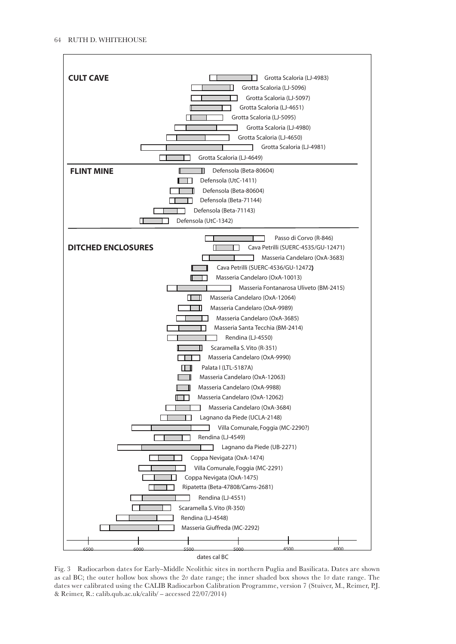

Fig. 3 Radiocarbon dates for Early–Middle Neolithic sites in northern Puglia and Basilicata. Dates are shown as cal BC; the outer hollow box shows the  $2\sigma$  date range; the inner shaded box shows the  $1\sigma$  date range. The dates wer calibrated using the CALIB Radiocarbon Calibration Programme, version 7 (Stuiver, M., Reimer, P.J. & Reimer, R.: calib.qub.ac.uk/calib/ – accessed 22/07/2014)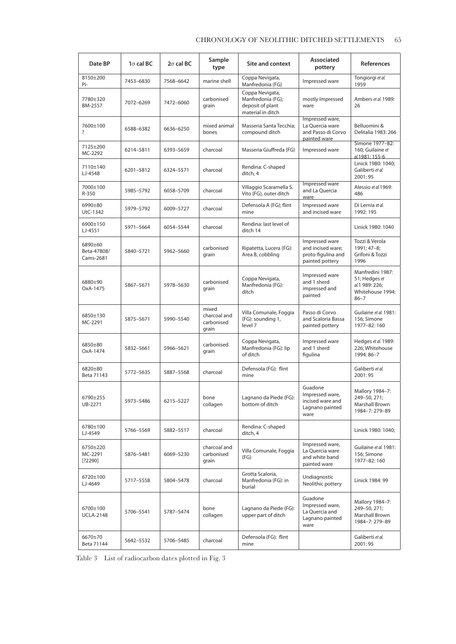# CHRONOLOGY OF NEOLITHIC DITCHED SETTLEMENTS 65

| Date BP                             | $1\sigma$ cal BC | $2\sigma$ cal BC | Sample<br>type                               | Site and context                                                              | Associated<br>pottery                                                        | <b>References</b>                                                                   |
|-------------------------------------|------------------|------------------|----------------------------------------------|-------------------------------------------------------------------------------|------------------------------------------------------------------------------|-------------------------------------------------------------------------------------|
| 8150±200<br>Pi-                     | 7453-6830        | 7568-6642        | marine shell                                 | Coppa Nevigata,<br>Manfredonia (FG)                                           | Impressed ware                                                               | Tongiorgi et al.<br>1959                                                            |
| 7780±320<br>BM-2557                 | 7072-6269        | 7472-6060        | carbonised<br>grain                          | Coppa Nevigata,<br>Manfredonia (FG);<br>deposit of plant<br>material in ditch | mostly Impressed<br>ware                                                     | Ambers et al. 1989:<br>26                                                           |
| 7600±100<br>?                       | 6588-6382        | 6636-6250        | mixed animal<br>bones                        | Masseria Santa Tecchia;<br>compound ditch                                     | Impressed ware,<br>La Quercia ware<br>and Passo di Corvo<br>painted ware     | Belluomini &<br>Delitalia 1983: 266                                                 |
| 7125±200<br>MC-2292                 | 6214-5811        | 6393-5659        | charcoal                                     | Masseria Giuffreda (FG)                                                       | Impressed ware                                                               | Simone 1977-82:<br>160; Guilaine et<br>al.1981: 155-6                               |
| 7110±140<br>LJ-4548                 | 6201-5812        | 6324-5571        | charcoal                                     | Rendina: C-shaped<br>ditch, 4                                                 |                                                                              | Linick 1980: 1040;<br>Galiberti et al.<br>2001:95                                   |
| 7000±100<br>R-350                   | 5985-5792        | 6058-5709        | charcoal                                     | Villaggio Scaramella S.<br>Vito (FG), outer ditch                             | Impressed ware<br>and La Quercia<br>ware                                     | Alessio et al. 1969:<br>486                                                         |
| 6990±80<br>UtC-1342                 | 5979-5792        | 6009-5727        | charcoal                                     | Defensola A (FG); flint<br>mine                                               | Impressed ware<br>and incised ware                                           | Di Lernia et al.<br>1992: 195                                                       |
| 6900±150<br>LJ-4551                 | 5971-5664        | 6054-5544        | charcoal                                     | Rendina: last level of<br>ditch 14                                            |                                                                              | Linick 1980: 1040                                                                   |
| 6890±60<br>Beta-47808/<br>Cams-2681 | 5840-5721        | 5962-5660        | carbonised<br>grain                          | Ripatetta, Lucera (FG):<br>Area B, cobbling                                   | Impressed ware<br>and incised ware;<br>proto-figulina and<br>painted pottery | Tozzi & Verola<br>1991; 47-8;<br>Grifoni & Tozzi<br>1996                            |
| 6880±90<br>OxA-1475                 | 5867-5671        | 5978-5630        | carbonised<br>grain                          | Coppa Nevigata,<br>Manfredonia (FG):<br>ditch                                 | Impressed ware<br>and 1 sherd<br>impressed and<br>painted                    | Manfredini 1987:<br>51; Hedges et<br>al.1 989: 226;<br>Whitehouse 1994:<br>$86 - 7$ |
| 6850±130<br>MC-2291                 | 5875-5671        | 5990-5540        | mixed<br>charcoal and<br>carbonised<br>grain | Villa Comunale, Foggia<br>(FG): sounding 1,<br>level 7                        | Passo di Corvo<br>and Scaloria Bassa<br>painted pottery                      | Guilaine et al. 1981:<br>156; Simone<br>1977-82:160                                 |
| 6850±80<br>OxA-1474                 | 5832-5661        | 5966-5621        | carbonised<br>grain                          | Coppa Nevigata,<br>Manfredonia (FG): lip<br>of ditch                          | Impressed ware<br>and 1 sherd<br>figulina                                    | Hedges et al. 1989:<br>226; Whitehouse<br>1994: 86-7                                |
| 6820±80<br>Beta 71143               | 5772-5635        | 5887-5568        | charcoal                                     | Defensola (FG): flint<br>mine                                                 |                                                                              | Galiberti et al.<br>2001:95                                                         |
| 6790±255<br>UB-2271                 | 5973-5486        | 6215-5227        | bone<br>collagen                             | Lagnano da Piede (FG):<br>bottom of ditch                                     | Guadone<br>Impressed ware,<br>incised ware and<br>Lagnano painted<br>ware    | Mallory 1984-7:<br>249-50, 271;<br>Marshall Brown<br>1984-7: 279-89                 |
| 6780±100<br>LJ-4549                 | 5766-5569        | 5882-5517        | charcoal                                     | Rendina: C-shaped<br>ditch, 4                                                 |                                                                              | Linick 1980: 1040;                                                                  |
| 6750±220<br>MC-2291<br>$[?2290]$    | 5876-5481        | 6069-5230        | charcoal and<br>carbonised<br>grain          | Villa Comunale, Foggia<br>(FG)                                                | Impressed ware,<br>La Ouercia ware<br>and white band<br>painted ware         | Guilaine et al. 1981:<br>156; Simone<br>1977-82:160                                 |
| 6720±100<br>LJ-4649                 | 5717-5558        | 5804-5478        | charcoal                                     | Grotta Scaloria,<br>Manfredonia (FG): in<br>burial                            | Undiagnostic<br>Neolithic pottery                                            | Linick 1984: 99                                                                     |
| 6700±100<br><b>UCLA-2148</b>        | 5706-5541        | 5787-5474        | bone<br>collagen                             | Lagnano da Piede (FG):<br>upper part of ditch                                 | Guadone<br>Impressed ware,<br>La Quercia and<br>Lagnano painted<br>ware      | Mallory 1984-7:<br>249-50, 271;<br>Marshall Brown<br>1984-7: 279-89                 |
| 6670±70<br>Beta 71144               | 5642-5532        | 5706-5485        | charcoal                                     | Defensola (FG): flint<br>mine                                                 |                                                                              | Galiberti et al.<br>2001:95                                                         |

Table 3 List of radiocarbon dates plotted in Fig. 3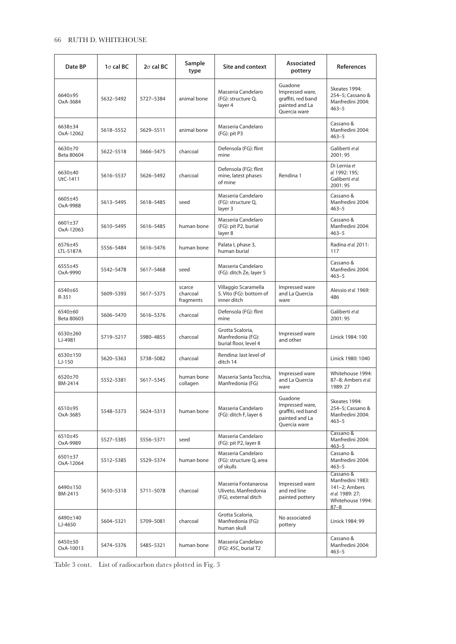# 66 RUTH D. WHITEHOUSE

| Date BP               | $1\sigma$ cal BC | $2\sigma$ cal BC | Sample<br>type                  | <b>Site and context</b>                                              | Associated<br>pottery                                                              | <b>References</b>                                                                                  |
|-----------------------|------------------|------------------|---------------------------------|----------------------------------------------------------------------|------------------------------------------------------------------------------------|----------------------------------------------------------------------------------------------------|
| 6640+95<br>OxA-3684   | 5632-5492        | 5727-5384        | animal bone                     | Masseria Candelaro<br>(FG): structure Q,<br>laver <sub>4</sub>       | Guadone<br>Impressed ware,<br>graffiti, red band<br>painted and La<br>Ouercia ware | Skeates 1994:<br>254-5; Cassano &<br>Manfredini 2004:<br>$463 - 5$                                 |
| 6638±34<br>OxA-12062  | 5618-5552        | 5629-5511        | animal bone                     | Masseria Candelaro<br>$(FG)$ : pit P3                                |                                                                                    | Cassano &<br>Manfredini 2004:<br>$463 - 5$                                                         |
| 6630±70<br>Beta 80604 | 5622-5518        | 5666-5475        | charcoal                        | Defensola (FG): flint<br>mine                                        |                                                                                    | Galiberti et al.<br>2001:95                                                                        |
| 6630±40<br>UtC-1411   | 5616-5537        | 5626-5492        | charcoal                        | Defensola (FG): flint<br>mine, latest phases<br>of mine              | Rendina 1                                                                          | Di Lernia et<br>al. 1992: 195;<br>Galiberti et al.<br>2001:95                                      |
| 6605±45<br>OxA-9988   | 5613-5495        | 5618-5485        | seed                            | Masseria Candelaro<br>(FG): structure Q,<br>layer 3                  |                                                                                    | Cassano &<br>Manfredini 2004:<br>$463 - 5$                                                         |
| 6601±37<br>OxA-12063  | 5610-5495        | 5616-5485        | human bone                      | Masseria Candelaro<br>(FG): pit P2, burial<br>layer 8                |                                                                                    | Cassano &<br>Manfredini 2004:<br>$463 - 5$                                                         |
| 6576±45<br>LTL-5187A  | 5556-5484        | 5616-5476        | human bone                      | Palata I, phase 3,<br>human burial                                   |                                                                                    | Radina et al. 2011:<br>117                                                                         |
| 6555±45<br>OxA-9990   | 5542-5478        | 5617-5468        | seed                            | Masseria Candelaro<br>(FG): ditch Ze, layer 5                        |                                                                                    | Cassano &<br>Manfredini 2004:<br>$463 - 5$                                                         |
| 6540±65<br>$R - 351$  | 5609-5393        | 5617-5375        | scarce<br>charcoal<br>fragments | Villaggio Scaramella<br>S. Vito (FG): bottom of<br>inner ditch       | Impressed ware<br>and La Quercia<br>ware                                           | Alessio et al. 1969:<br>486                                                                        |
| 6540±60<br>Beta 80603 | 5606-5470        | 5616-5376        | charcoal                        | Defensola (FG): flint<br>mine                                        |                                                                                    | Galiberti et al.<br>2001:95                                                                        |
| 6530±260<br>LJ-4981   | 5719-5217        | 5980-4855        | charcoal                        | Grotta Scaloria,<br>Manfredonia (FG):<br>burial floor, level 4       | Impressed ware<br>and other                                                        | Linick 1984: 100                                                                                   |
| 6530+150<br>LJ-150    | 5620-5363        | 5738-5082        | charcoal                        | Rendina: last level of<br>ditch 14                                   |                                                                                    | Linick 1980: 1040                                                                                  |
| 6520±70<br>BM-2414    | 5552-5381        | 5617-5345        | human bone<br>collagen          | Masseria Santa Tecchia,<br>Manfredonia (FG)                          | Impressed ware<br>and La Quercia<br>ware                                           | Whitehouse 1994:<br>87-8; Ambers et al.<br>1989: 27                                                |
| 6510±95<br>OxA-3685   | 5548-5373        | 5624-5313        | human bone                      | Masseria Candelaro<br>(FG): ditch F, layer 6                         | Guadone<br>Impressed ware,<br>graffiti, red band<br>painted and La<br>Quercia ware | Skeates 1994:<br>254-5; Cassano &<br>Manfredini 2004:<br>$463 - 5$                                 |
| 6510±45<br>OxA-9989   | 5527-5385        | 5556-5371        | seed                            | Masseria Candelaro<br>(FG): pit P2, layer 8                          |                                                                                    | Cassano &<br>Manfredini 2004:<br>$463 - 5$                                                         |
| 6501±37<br>OxA-12064  | 5512-5385        | 5529-5374        | human bone                      | Masseria Candelaro<br>(FG): structure Q, area<br>of skulls           |                                                                                    | Cassano &<br>Manfredini 2004:<br>$463 - 5$                                                         |
| 6490±150<br>BM-2415   | 5610-5318        | 5711-5078        | charcoal                        | Masseria Fontanarosa<br>Uliveto, Manfredonia<br>(FG), external ditch | Impressed ware<br>and red line<br>painted pottery                                  | Cassano &<br>Manfredini 1983:<br>141-2; Ambers<br>et al. 1989: 27;<br>Whitehouse 1994:<br>$87 - 8$ |
| 6490±140<br>LJ-4650   | 5604-5321        | 5709-5081        | charcoal                        | Grotta Scaloria,<br>Manfredonia (FG):<br>human skull                 | No associated<br>pottery                                                           | Linick 1984: 99                                                                                    |
| 6450±50<br>OxA-10013  | 5474-5376        | 5485-5321        | human bone                      | Masseria Candelaro<br>(FG): 45C, burial T2                           |                                                                                    | Cassano &<br>Manfredini 2004:<br>$463 - 5$                                                         |

Table 3 cont. List of radiocarbon dates plotted in Fig. 3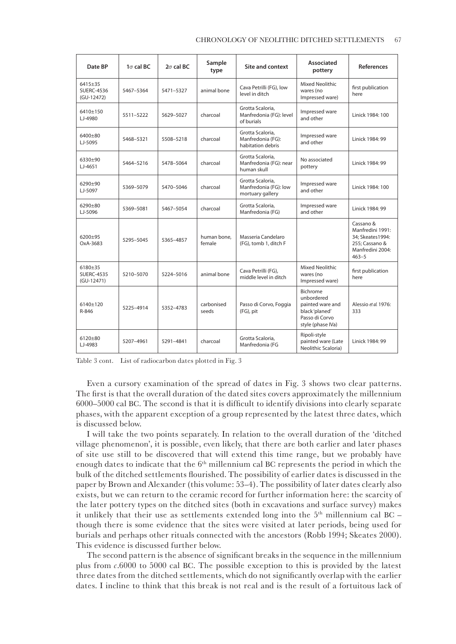| Date BP                                      | $1\sigma$ cal BC | $2\sigma$ cal BC | Sample<br>type        | <b>Site and context</b>                                       | <b>Associated</b><br>pottery                                                                        | <b>References</b>                                                                                     |
|----------------------------------------------|------------------|------------------|-----------------------|---------------------------------------------------------------|-----------------------------------------------------------------------------------------------------|-------------------------------------------------------------------------------------------------------|
| 6415±35<br><b>SUERC-4536</b><br>(GU-12472)   | 5467-5364        | 5471-5327        | animal bone           | Cava Petrilli (FG), low<br>level in ditch                     | <b>Mixed Neolithic</b><br>wares (no<br>Impressed ware)                                              | first publication<br>here                                                                             |
| $6410+150$<br>LJ-4980                        | 5511-5222        | 5629-5027        | charcoal              | Grotta Scaloria.<br>Manfredonia (FG): level<br>of burials     | Impressed ware<br>and other                                                                         | Linick 1984: 100                                                                                      |
| 6400±80<br>LJ-5095                           | 5468-5321        | 5508-5218        | charcoal              | Grotta Scaloria,<br>Manfredonia (FG):<br>habitation debris    | Impressed ware<br>and other                                                                         | Linick 1984: 99                                                                                       |
| 6330±90<br>$LJ-4651$                         | 5464-5216        | 5478-5064        | charcoal              | Grotta Scaloria,<br>Manfredonia (FG): near<br>human skull     | No associated<br>pottery                                                                            | Linick 1984: 99                                                                                       |
| 6290±90<br>LJ-5097                           | 5369-5079        | 5470-5046        | charcoal              | Grotta Scaloria,<br>Manfredonia (FG): low<br>mortuary gallery | Impressed ware<br>and other                                                                         | Linick 1984: 100                                                                                      |
| 6290±80<br>LJ-5096                           | 5369-5081        | 5467-5054        | charcoal              | Grotta Scaloria,<br>Manfredonia (FG)                          | Impressed ware<br>and other                                                                         | Linick 1984: 99                                                                                       |
| 6200±95<br>OxA-3683                          | 5295-5045        | 5365-4857        | human bone.<br>female | Masseria Candelaro<br>(FG), tomb 1, ditch F                   |                                                                                                     | Cassano &<br>Manfredini 1991:<br>34; Skeates 1994:<br>255: Cassano &<br>Manfredini 2004:<br>$463 - 5$ |
| 6180±35<br><b>SUERC-4535</b><br>$(GU-12471)$ | 5210-5070        | 5224-5016        | animal bone           | Cava Petrilli (FG),<br>middle level in ditch                  | <b>Mixed Neolithic</b><br>wares (no<br>Impressed ware)                                              | first publication<br>here                                                                             |
| $6140+120$<br>R-846                          | 5225-4914        | 5352-4783        | carbonised<br>seeds   | Passo di Corvo, Foggia<br>(FG), pit                           | Bichrome<br>unbordered<br>painted ware and<br>black 'planed'<br>Passo di Corvo<br>style (phase IVa) | Alessio et al. 1976:<br>333                                                                           |
| 6120±80<br>LJ-4983                           | 5207-4961        | 5291-4841        | charcoal              | Grotta Scaloria,<br>Manfredonia (FG                           | Ripoli-style<br>painted ware (Late<br>Neolithic Scaloria)                                           | Linick 1984: 99                                                                                       |

Table 3 cont. List of radiocarbon dates plotted in Fig. 3

Even a cursory examination of the spread of dates in Fig. 3 shows two clear patterns. The first is that the overall duration of the dated sites covers approximately the millennium 6000–5000 cal BC. The second is that it is difficult to identify divisions into clearly separate phases, with the apparent exception of a group represented by the latest three dates, which is discussed below.

I will take the two points separately. In relation to the overall duration of the 'ditched village phenomenon', it is possible, even likely, that there are both earlier and later phases of site use still to be discovered that will extend this time range, but we probably have enough dates to indicate that the  $6<sup>th</sup>$  millennium cal BC represents the period in which the bulk of the ditched settlements flourished. The possibility of earlier dates is discussed in the paper by Brown and Alexander (this volume: 53–4). The possibility of later dates clearly also exists, but we can return to the ceramic record for further information here: the scarcity of the later pottery types on the ditched sites (both in excavations and surface survey) makes it unlikely that their use as settlements extended long into the  $5<sup>th</sup>$  millennium cal BC – though there is some evidence that the sites were visited at later periods, being used for burials and perhaps other rituals connected with the ancestors (Robb 1994; Skeates 2000). This evidence is discussed further below.

The second pattern is the absence of significant breaks in the sequence in the millennium plus from *c*.6000 to 5000 cal BC. The possible exception to this is provided by the latest three dates from the ditched settlements, which do not significantly overlap with the earlier dates. I incline to think that this break is not real and is the result of a fortuitous lack of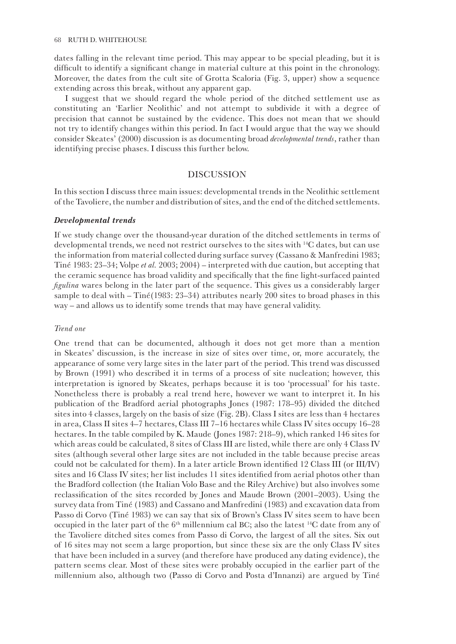dates falling in the relevant time period. This may appear to be special pleading, but it is difficult to identify a significant change in material culture at this point in the chronology. Moreover, the dates from the cult site of Grotta Scaloria (Fig. 3, upper) show a sequence extending across this break, without any apparent gap.

I suggest that we should regard the whole period of the ditched settlement use as constituting an 'Earlier Neolithic' and not attempt to subdivide it with a degree of precision that cannot be sustained by the evidence. This does not mean that we should not try to identify changes within this period. In fact I would argue that the way we should consider Skeates' (2000) discussion is as documenting broad *developmental trends*, rather than identifying precise phases. I discuss this further below.

# DISCUSSION

In this section I discuss three main issues: developmental trends in the Neolithic settlement of the Tavoliere, the number and distribution of sites, and the end of the ditched settlements.

#### *Developmental trends*

If we study change over the thousand-year duration of the ditched settlements in terms of developmental trends, we need not restrict ourselves to the sites with 14C dates, but can use the information from material collected during surface survey (Cassano & Manfredini 1983; Tiné 1983: 23–34; Volpe *et al.* 2003; 2004) – interpreted with due caution, but accepting that the ceramic sequence has broad validity and specifically that the fine light-surfaced painted *figulina* wares belong in the later part of the sequence. This gives us a considerably larger sample to deal with – Tiné(1983: 23–34) attributes nearly 200 sites to broad phases in this way – and allows us to identify some trends that may have general validity.

#### *Trend one*

One trend that can be documented, although it does not get more than a mention in Skeates' discussion, is the increase in size of sites over time, or, more accurately, the appearance of some very large sites in the later part of the period. This trend was discussed by Brown (1991) who described it in terms of a process of site nucleation; however, this interpretation is ignored by Skeates, perhaps because it is too 'processual' for his taste. Nonetheless there is probably a real trend here, however we want to interpret it. In his publication of the Bradford aerial photographs Jones (1987: 178–95) divided the ditched sites into 4 classes, largely on the basis of size (Fig. 2B). Class I sites are less than 4 hectares in area, Class II sites 4–7 hectares, Class III 7–16 hectares while Class IV sites occupy 16–28 hectares. In the table compiled by K. Maude (Jones 1987: 218–9), which ranked 146 sites for which areas could be calculated, 8 sites of Class III are listed, while there are only 4 Class IV sites (although several other large sites are not included in the table because precise areas could not be calculated for them). In a later article Brown identified 12 Class III (or III/IV) sites and 16 Class IV sites; her list includes 11 sites identified from aerial photos other than the Bradford collection (the Italian Volo Base and the Riley Archive) but also involves some reclassification of the sites recorded by Jones and Maude Brown (2001–2003). Using the survey data from Tiné (1983) and Cassano and Manfredini (1983) and excavation data from Passo di Corvo (Tiné 1983) we can say that six of Brown's Class IV sites seem to have been occupied in the later part of the  $6<sup>th</sup>$  millennium cal BC; also the latest <sup>14</sup>C date from any of the Tavoliere ditched sites comes from Passo di Corvo, the largest of all the sites. Six out of 16 sites may not seem a large proportion, but since these six are the only Class IV sites that have been included in a survey (and therefore have produced any dating evidence), the pattern seems clear. Most of these sites were probably occupied in the earlier part of the millennium also, although two (Passo di Corvo and Posta d'Innanzi) are argued by Tiné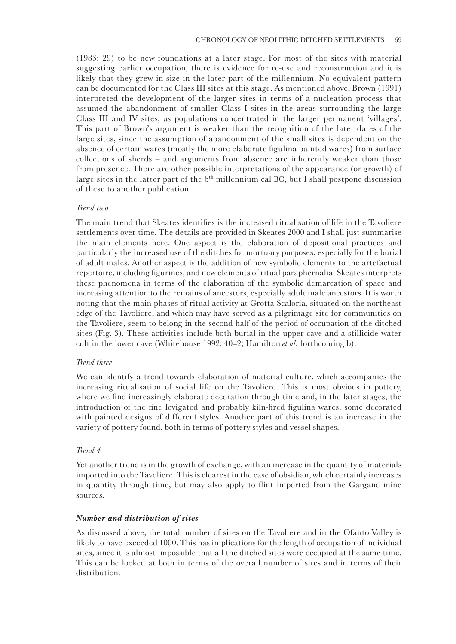(1983: 29) to be new foundations at a later stage. For most of the sites with material suggesting earlier occupation, there is evidence for re-use and reconstruction and it is likely that they grew in size in the later part of the millennium. No equivalent pattern can be documented for the Class III sites at this stage. As mentioned above, Brown (1991) interpreted the development of the larger sites in terms of a nucleation process that assumed the abandonment of smaller Class I sites in the areas surrounding the large Class III and IV sites, as populations concentrated in the larger permanent 'villages'. This part of Brown's argument is weaker than the recognition of the later dates of the large sites, since the assumption of abandonment of the small sites is dependent on the absence of certain wares (mostly the more elaborate figulina painted wares) from surface collections of sherds – and arguments from absence are inherently weaker than those from presence. There are other possible interpretations of the appearance (or growth) of large sites in the latter part of the  $6<sup>th</sup>$  millennium cal BC, but I shall postpone discussion of these to another publication.

## *Trend two*

The main trend that Skeates identifies is the increased ritualisation of life in the Tavoliere settlements over time. The details are provided in Skeates 2000 and I shall just summarise the main elements here. One aspect is the elaboration of depositional practices and particularly the increased use of the ditches for mortuary purposes, especially for the burial of adult males. Another aspect is the addition of new symbolic elements to the artefactual repertoire, including figurines, and new elements of ritual paraphernalia. Skeates interprets these phenomena in terms of the elaboration of the symbolic demarcation of space and increasing attention to the remains of ancestors, especially adult male ancestors. It is worth noting that the main phases of ritual activity at Grotta Scaloria, situated on the northeast edge of the Tavoliere, and which may have served as a pilgrimage site for communities on the Tavoliere, seem to belong in the second half of the period of occupation of the ditched sites (Fig. 3). These activities include both burial in the upper cave and a stillicide water cult in the lower cave (Whitehouse 1992: 40–2; Hamilton *et al.* forthcoming b).

# *Trend three*

We can identify a trend towards elaboration of material culture, which accompanies the increasing ritualisation of social life on the Tavoliere. This is most obvious in pottery, where we find increasingly elaborate decoration through time and, in the later stages, the introduction of the fine levigated and probably kiln-fired figulina wares, some decorated with painted designs of different styles. Another part of this trend is an increase in the variety of pottery found, both in terms of pottery styles and vessel shapes.

## *Trend 4*

Yet another trend is in the growth of exchange, with an increase in the quantity of materials imported into the Tavoliere. This is clearest in the case of obsidian, which certainly increases in quantity through time, but may also apply to flint imported from the Gargano mine sources.

# *Number and distribution of sites*

As discussed above, the total number of sites on the Tavoliere and in the Ofanto Valley is likely to have exceeded 1000. This has implications for the length of occupation of individual sites, since it is almost impossible that all the ditched sites were occupied at the same time. This can be looked at both in terms of the overall number of sites and in terms of their distribution.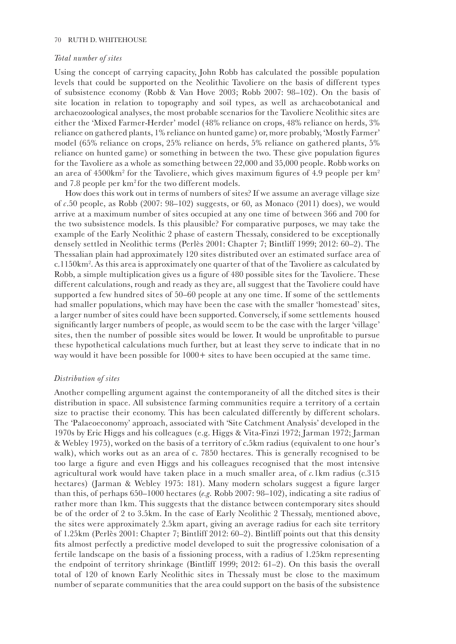## 70 RUTH D. WHITEHOUSE

## *Total number of sites*

Using the concept of carrying capacity, John Robb has calculated the possible population levels that could be supported on the Neolithic Tavoliere on the basis of different types of subsistence economy (Robb & Van Hove 2003; Robb 2007: 98–102). On the basis of site location in relation to topography and soil types, as well as archaeobotanical and archaeozoological analyses, the most probable scenarios for the Tavoliere Neolithic sites are either the 'Mixed Farmer-Herder' model (48% reliance on crops, 48% reliance on herds, 3% reliance on gathered plants, 1% reliance on hunted game) or, more probably, 'Mostly Farmer' model (65% reliance on crops, 25% reliance on herds, 5% reliance on gathered plants, 5% reliance on hunted game) or something in between the two. These give population figures for the Tavoliere as a whole as something between 22,000 and 35,000 people. Robb works on an area of 4500km<sup>2</sup> for the Tavoliere, which gives maximum figures of 4.9 people per km<sup>2</sup> and 7.8 people per  $km^2$  for the two different models.

How does this work out in terms of numbers of sites? If we assume an average village size of *c*.50 people, as Robb (2007: 98–102) suggests, or 60, as Monaco (2011) does), we would arrive at a maximum number of sites occupied at any one time of between 366 and 700 for the two subsistence models. Is this plausible? For comparative purposes, we may take the example of the Early Neolithic 2 phase of eastern Thessaly, considered to be exceptionally densely settled in Neolithic terms (Perlès 2001: Chapter 7; Bintliff 1999; 2012: 60–2). The Thessalian plain had approximately 120 sites distributed over an estimated surface area of c.1150km<sup>2</sup>. As this area is approximately one quarter of that of the Tavoliere as calculated by Robb, a simple multiplication gives us a figure of 480 possible sites for the Tavoliere. These different calculations, rough and ready as they are, all suggest that the Tavoliere could have supported a few hundred sites of 50–60 people at any one time. If some of the settlements had smaller populations, which may have been the case with the smaller 'homestead' sites, a larger number of sites could have been supported. Conversely, if some settlements housed significantly larger numbers of people, as would seem to be the case with the larger 'village' sites, then the number of possible sites would be lower. It would be unprofitable to pursue these hypothetical calculations much further, but at least they serve to indicate that in no way would it have been possible for  $1000+$  sites to have been occupied at the same time.

# *Distribution of sites*

Another compelling argument against the contemporaneity of all the ditched sites is their distribution in space. All subsistence farming communities require a territory of a certain size to practise their economy. This has been calculated differently by different scholars. The 'Palaeoeconomy' approach, associated with 'Site Catchment Analysis' developed in the 1970s by Eric Higgs and his colleagues (e.g. Higgs & Vita-Finzi 1972; Jarman 1972; Jarman & Webley 1975), worked on the basis of a territory of c.5km radius (equivalent to one hour's walk), which works out as an area of c. 7850 hectares. This is generally recognised to be too large a figure and even Higgs and his colleagues recognised that the most intensive agricultural work would have taken place in a much smaller area, of *c.*1km radius (c.315 hectares) (Jarman & Webley 1975: 181). Many modern scholars suggest a figure larger than this, of perhaps 650–1000 hectares (*e.g.* Robb 2007: 98–102), indicating a site radius of rather more than 1km. This suggests that the distance between contemporary sites should be of the order of 2 to 3.5km. In the case of Early Neolithic 2 Thessaly, mentioned above, the sites were approximately 2.5km apart, giving an average radius for each site territory of 1.25km (Perlès 2001: Chapter 7; Bintliff 2012: 60–2). Bintliff points out that this density fits almost perfectly a predictive model developed to suit the progressive colonisation of a fertile landscape on the basis of a fissioning process, with a radius of 1.25km representing the endpoint of territory shrinkage (Bintliff 1999; 2012: 61–2). On this basis the overall total of 120 of known Early Neolithic sites in Thessaly must be close to the maximum number of separate communities that the area could support on the basis of the subsistence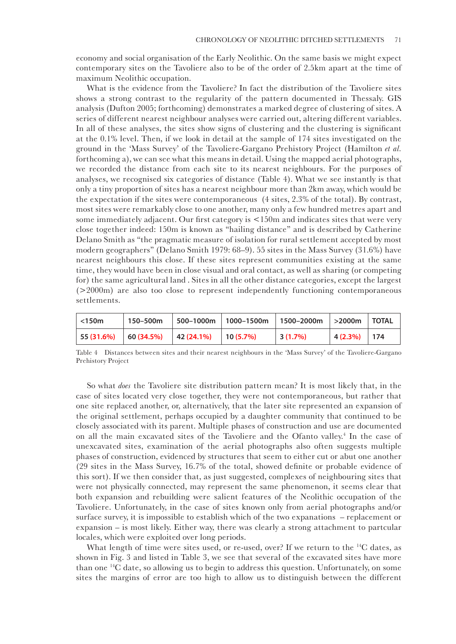economy and social organisation of the Early Neolithic. On the same basis we might expect contemporary sites on the Tavoliere also to be of the order of 2.5km apart at the time of maximum Neolithic occupation.

What is the evidence from the Tavoliere? In fact the distribution of the Tavoliere sites shows a strong contrast to the regularity of the pattern documented in Thessaly. GIS analysis (Dufton 2005; forthcoming) demonstrates a marked degree of clustering of sites. A series of different nearest neighbour analyses were carried out, altering different variables. In all of these analyses, the sites show signs of clustering and the clustering is significant at the 0.1% level. Then, if we look in detail at the sample of 174 sites investigated on the ground in the 'Mass Survey' of the Tavoliere-Gargano Prehistory Project (Hamilton *et al.*  forthcoming a), we can see what this means in detail. Using the mapped aerial photographs, we recorded the distance from each site to its nearest neighbours. For the purposes of analyses, we recognised six categories of distance (Table 4). What we see instantly is that only a tiny proportion of sites has a nearest neighbour more than 2km away, which would be the expectation if the sites were contemporaneous (4 sites, 2.3% of the total). By contrast, most sites were remarkably close to one another, many only a few hundred metres apart and some immediately adjacent. Our first category is <150m and indicates sites that were very close together indeed: 150m is known as "hailing distance" and is described by Catherine Delano Smith as "the pragmatic measure of isolation for rural settlement accepted by most modern geographers" (Delano Smith 1979: 68–9). 55 sites in the Mass Survey (31.6%) have nearest neighbours this close. If these sites represent communities existing at the same time, they would have been in close visual and oral contact, as well as sharing (or competing for) the same agricultural land . Sites in all the other distance categories, except the largest (>2000m) are also too close to represent independently functioning contemporaneous settlements.

| $\vert$ <150m | 150–500m |                                                         | 500-1000m   1000-1500m   1500-2000m   >2000m   TOTAL |              |                 |  |
|---------------|----------|---------------------------------------------------------|------------------------------------------------------|--------------|-----------------|--|
| 55(31.6%)     |          | $\vert$ 60 (34.5%) $\vert$ 42 (24.1%) $\vert$ 10 (5.7%) |                                                      | $ 3(1.7\%) $ | $ 4(2.3\%) 174$ |  |

Table 4 Distances between sites and their nearest neighbours in the 'Mass Survey' of the Tavoliere-Gargano Prehistory Project

So what *does* the Tavoliere site distribution pattern mean? It is most likely that, in the case of sites located very close together, they were not contemporaneous, but rather that one site replaced another, or, alternatively, that the later site represented an expansion of the original settlement, perhaps occupied by a daughter community that continued to be closely associated with its parent. Multiple phases of construction and use are documented on all the main excavated sites of the Tavoliere and the Ofanto valley.<sup>4</sup> In the case of unexcavated sites, examination of the aerial photographs also often suggests multiple phases of construction, evidenced by structures that seem to either cut or abut one another (29 sites in the Mass Survey, 16.7% of the total, showed definite or probable evidence of this sort). If we then consider that, as just suggested, complexes of neighbouring sites that were not physically connected, may represent the same phenomenon, it seems clear that both expansion and rebuilding were salient features of the Neolithic occupation of the Tavoliere. Unfortunately, in the case of sites known only from aerial photographs and/or surface survey, it is impossible to establish which of the two expanations – replacement or expansion – is most likely. Either way, there was clearly a strong attachment to partcular locales, which were exploited over long periods.

What length of time were sites used, or re-used, over? If we return to the <sup>14</sup>C dates, as shown in Fig. 3 and listed in Table 3, we see that several of the excavated sites have more than one 14C date, so allowing us to begin to address this question. Unfortunately, on some sites the margins of error are too high to allow us to distinguish between the different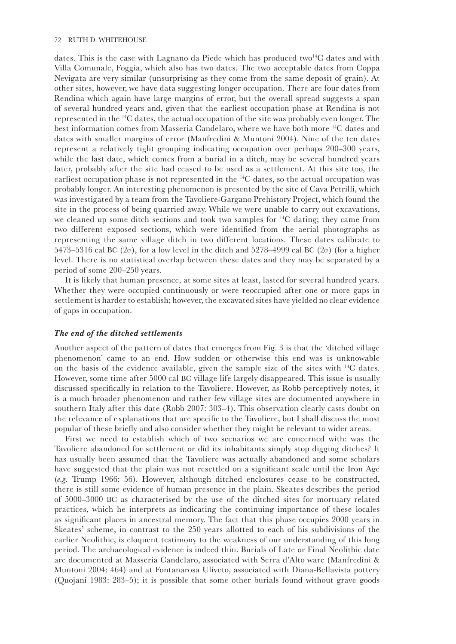dates. This is the case with Lagnano da Piede which has produced two<sup>14</sup>C dates and with Villa Comunale, Foggia, which also has two dates. The two acceptable dates from Coppa Nevigata are very similar (unsurprising as they come from the same deposit of grain). At other sites, however, we have data suggesting longer occupation. There are four dates from Rendina which again have large margins of error, but the overall spread suggests a span of several hundred years and, given that the earliest occupation phase at Rendina is not represented in the 14C dates, the actual occupation of the site was probably even longer. The best information comes from Masseria Candelaro, where we have both more 14C dates and dates with smaller margins of error (Manfredini & Muntoni 2004). Nine of the ten dates represent a relatively tight grouping indicating occupation over perhaps 200–300 years, while the last date, which comes from a burial in a ditch, may be several hundred years later, probably after the site had ceased to be used as a settlement. At this site too, the earliest occupation phase is not represented in the 14C dates, so the actual occupation was probably longer. An interesting phenomenon is presented by the site of Cava Petrilli, which was investigated by a team from the Tavoliere-Gargano Prehistory Project, which found the site in the process of being quarried away. While we were unable to carry out excavations, we cleaned up some ditch sections and took two samples for 14C dating; they came from two different exposed sections, which were identified from the aerial photographs as representing the same village ditch in two different locations. These dates calibrate to 5473–5316 cal BC ( $2\sigma$ ), for a low level in the ditch and 5278–4999 cal BC ( $2\sigma$ ) (for a higher level. There is no statistical overlap between these dates and they may be separated by a period of some 200–250 years.

It is likely that human presence, at some sites at least, lasted for several hundred years. Whether they were occupied continuously or were reoccupied after one or more gaps in settlement is harder to establish; however, the excavated sites have yielded no clear evidence of gaps in occupation.

## *The end of the ditched settlements*

Another aspect of the pattern of dates that emerges from Fig. 3 is that the 'ditched village phenomenon' came to an end. How sudden or otherwise this end was is unknowable on the basis of the evidence available, given the sample size of the sites with 14C dates. However, some time after 5000 cal BC village life largely disappeared. This issue is usually discussed specifically in relation to the Tavoliere. However, as Robb perceptively notes, it is a much broader phenomenon and rather few village sites are documented anywhere in southern Italy after this date (Robb 2007: 303–4). This observation clearly casts doubt on the relevance of explanations that are specific to the Tavoliere, but I shall discuss the most popular of these briefly and also consider whether they might be relevant to wider areas.

First we need to establish which of two scenarios we are concerned with: was the Tavoliere abandoned for settlement or did its inhabitants simply stop digging ditches? It has usually been assumed that the Tavoliere was actually abandoned and some scholars have suggested that the plain was not resettled on a significant scale until the Iron Age (*e.g.* Trump 1966: 56). However, although ditched enclosures cease to be constructed, there is still some evidence of human presence in the plain. Skeates describes the period of 5000–3000 BC as characterised by the use of the ditched sites for mortuary related practices, which he interprets as indicating the continuing importance of these locales as significant places in ancestral memory. The fact that this phase occupies 2000 years in Skeates' scheme, in contrast to the 250 years allotted to each of his subdivisions of the earlier Neolithic, is eloquent testimony to the weakness of our understanding of this long period. The archaeological evidence is indeed thin. Burials of Late or Final Neolithic date are documented at Masseria Candelaro, associated with Serra d'Alto ware (Manfredini & Muntoni 2004: 464) and at Fontanarosa Uliveto, associated with Diana-Bellavista pottery (Quojani 1983: 283–5); it is possible that some other burials found without grave goods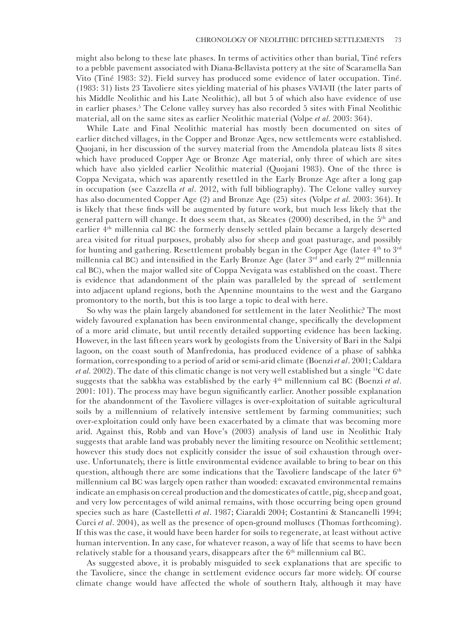might also belong to these late phases. In terms of activities other than burial, Tiné refers to a pebble pavement associated with Diana-Bellavista pottery at the site of Scaramella San Vito (Tiné 1983: 32). Field survey has produced some evidence of later occupation. Tiné. (1983: 31) lists 23 Tavoliere sites yielding material of his phases V-VI-VII (the later parts of his Middle Neolithic and his Late Neolithic), all but 5 of which also have evidence of use in earlier phases.5 The Celone valley survey has also recorded 5 sites with Final Neolithic material, all on the same sites as earlier Neolithic material (Volpe *et al.* 2003: 364).

While Late and Final Neolithic material has mostly been documented on sites of earlier ditched villages, in the Copper and Bronze Ages, new settlements were established. Quojani, in her discussion of the survey material from the Amendola plateau lists 8 sites which have produced Copper Age or Bronze Age material, only three of which are sites which have also yielded earlier Neolithic material (Quojani 1983). One of the three is Coppa Nevigata, which was aparently resettled in the Early Bronze Age after a long gap in occupation (see Cazzella *et al*. 2012, with full bibliography). The Celone valley survey has also documented Copper Age (2) and Bronze Age (25) sites (Volpe *et al.* 2003: 364). It is likely that these finds will be augmented by future work, but much less likely that the general pattern will change. It does seem that, as Skeates (2000) described, in the 5<sup>th</sup> and earlier 4th millennia cal BC the formerly densely settled plain became a largely deserted area visited for ritual purposes, probably also for sheep and goat pasturage, and possibly for hunting and gathering. Resettlement probably began in the Copper Age (later 4<sup>th</sup> to 3<sup>rd</sup> millennia cal BC) and intensified in the Early Bronze Age (later  $3<sup>rd</sup>$  and early  $2<sup>nd</sup>$  millennia cal BC), when the major walled site of Coppa Nevigata was established on the coast. There is evidence that adandonment of the plain was paralleled by the spread of settlement into adjacent upland regions, both the Apennine mountains to the west and the Gargano promontory to the north, but this is too large a topic to deal with here.

So why was the plain largely abandoned for settlement in the later Neolithic? The most widely favoured explanation has been environmental change, specifically the development of a more arid climate, but until recently detailed supporting evidence has been lacking. However, in the last fifteen years work by geologists from the University of Bari in the Salpi lagoon, on the coast south of Manfredonia, has produced evidence of a phase of sabhka formation, corresponding to a period of arid or semi-arid climate (Boenzi *et al*. 2001; Caldara *et al.* 2002). The date of this climatic change is not very well established but a single 14C date suggests that the sabkha was established by the early 4th millennium cal BC (Boenzi *et al*. 2001: 101). The process may have begun significantly earlier. Another possible explanation for the abandonment of the Tavoliere villages is over-exploitation of suitable agricultural soils by a millennium of relatively intensive settlement by farming communities; such over-exploitation could only have been exacerbated by a climate that was becoming more arid. Against this, Robb and van Hove's (2003) analysis of land use in Neolithic Italy suggests that arable land was probably never the limiting resource on Neolithic settlement; however this study does not explicitly consider the issue of soil exhaustion through overuse. Unfortunately, there is little environmental evidence available to bring to bear on this question, although there are some indications that the Tavoliere landscape of the later 6<sup>th</sup> millennium cal BC was largely open rather than wooded: excavated environmental remains indicate an emphasis on cereal production and the domesticates of cattle, pig, sheep and goat, and very low percentages of wild animal remains, with those occurring being open ground species such as hare (Castelletti *et al*. 1987; Ciaraldi 2004; Costantini & Stancanelli 1994; Curci *et al*. 2004), as well as the presence of open-ground molluscs (Thomas forthcoming). If this was the case, it would have been harder for soils to regenerate, at least without active human intervention. In any case, for whatever reason, a way of life that seems to have been relatively stable for a thousand years, disappears after the  $6<sup>th</sup>$  millennium cal BC.

As suggested above, it is probably misguided to seek explanations that are specific to the Tavoliere, since the change in settlement evidence occurs far more widely. Of course climate change would have affected the whole of southern Italy, although it may have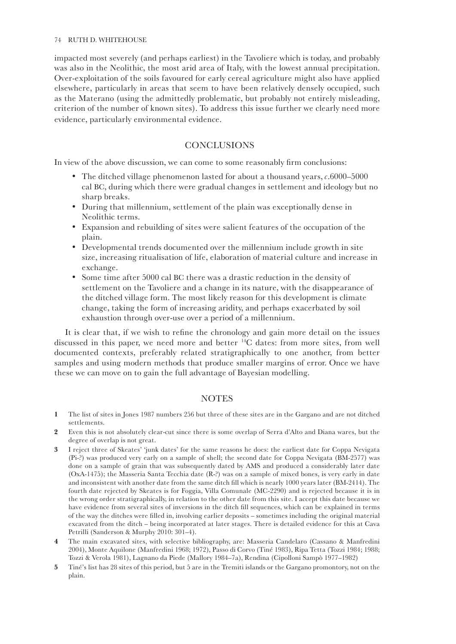impacted most severely (and perhaps earliest) in the Tavoliere which is today, and probably was also in the Neolithic, the most arid area of Italy, with the lowest annual precipitation. Over-exploitation of the soils favoured for early cereal agriculture might also have applied elsewhere, particularly in areas that seem to have been relatively densely occupied, such as the Materano (using the admittedly problematic, but probably not entirely misleading, criterion of the number of known sites). To address this issue further we clearly need more evidence, particularly environmental evidence.

# **CONCLUSIONS**

In view of the above discussion, we can come to some reasonably firm conclusions:

- The ditched village phenomenon lasted for about a thousand years, *c*.6000–5000 cal BC, during which there were gradual changes in settlement and ideology but no sharp breaks.
- During that millennium, settlement of the plain was exceptionally dense in Neolithic terms.
- Expansion and rebuilding of sites were salient features of the occupation of the plain.
- Developmental trends documented over the millennium include growth in site size, increasing ritualisation of life, elaboration of material culture and increase in exchange.
- Some time after 5000 cal BC there was a drastic reduction in the density of settlement on the Tavoliere and a change in its nature, with the disappearance of the ditched village form. The most likely reason for this development is climate change, taking the form of increasing aridity, and perhaps exacerbated by soil exhaustion through over-use over a period of a millennium.

It is clear that, if we wish to refine the chronology and gain more detail on the issues discussed in this paper, we need more and better 14C dates: from more sites, from well documented contexts, preferably related stratigraphically to one another, from better samples and using modern methods that produce smaller margins of error. Once we have these we can move on to gain the full advantage of Bayesian modelling.

# **NOTES**

- **1** The list of sites in Jones 1987 numbers 256 but three of these sites are in the Gargano and are not ditched settlements.
- **2** Even this is not absolutely clear-cut since there is some overlap of Serra d'Alto and Diana wares, but the degree of overlap is not great.
- **3** I reject three of Skeates' 'junk dates' for the same reasons he does: the earliest date for Coppa Nevigata (Pi-?) was produced very early on a sample of shell; the second date for Coppa Nevigata (BM-2577) was done on a sample of grain that was subsequently dated by AMS and produced a considerably later date (OxA-1475); the Masseria Santa Tecchia date (R-?) was on a sample of mixed bones, is very early in date and inconsistent with another date from the same ditch fill which is nearly 1000 years later (BM-2414). The fourth date rejected by Skeates is for Foggia, Villa Comunale (MC-2290) and is rejected because it is in the wrong order stratigraphically, in relation to the other date from this site. I accept this date because we have evidence from several sites of inversions in the ditch fill sequences, which can be explained in terms of the way the ditches were filled in, involving earlier deposits – sometimes including the original material excavated from the ditch – being incorporated at later stages. There is detailed evidence for this at Cava Petrilli (Sanderson & Murphy 2010: 301–4).
- **4** The main excavated sites, with selective bibliography, are: Masseria Candelaro (Cassano & Manfredini 2004), Monte Aquilone (Manfredini 1968; 1972), Passo di Corvo (Tiné 1983), Ripa Tetta (Tozzi 1984; 1988; Tozzi & Verola 1981), Lagnano da Piede (Mallory 1984–7a), Rendina (Cipolloni Sampò 1977–1982)
- **5** Tiné's list has 28 sites of this period, but 5 are in the Tremiti islands or the Gargano promontory, not on the plain.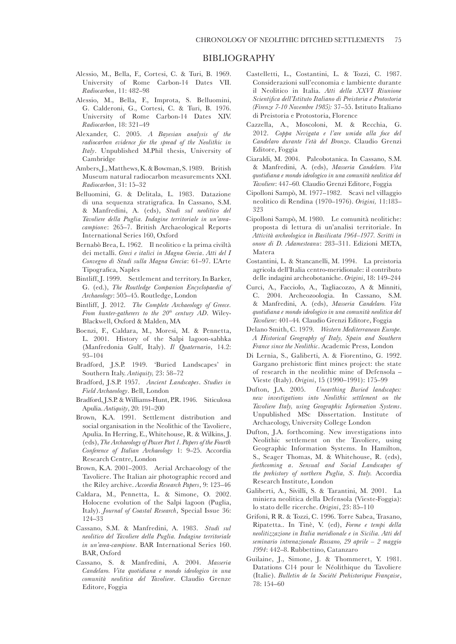- Alessio, M., Bella, F., Cortesi, C. & Turi, B. 1969. University of Rome Carbon-14 Dates VII. *Radiocarbon*, 11: 482–98
- Alessio, M., Bella, F., Improta, S. Belluomini, G. Calderoni, G., Cortesi, C. & Turi, B. 1976. University of Rome Carbon-14 Dates XIV. *Radiocarbon*, 18: 321–49
- Alexander, C. 2005. *A Bayesian analysis of the radiocarbon evidence for the spread of the Neolithic in Italy*. Unpublished M.Phil thesis, University of Cambridge
- Ambers, J., Matthews, K. & Bowman, S. 1989. British Museum natural radiocarbon measurements XXI. *Radiocarbon*, 31: 15–32
- Belluomini, G. & Delitala, L. 1983. Datazione di una sequenza stratigrafica. In Cassano, S.M. & Manfredini, A. (eds), *Studi sul neolitico del Tavoliere della Puglia. Indagine territoriale in un'areacampion*e: 265–7. British Archaeological Reports International Series 160, Oxford
- Bernabò Brea, L. 1962. Il neolitico e la prima civiltà dei metalli. *Greci e italici in Magna Grecia*. *Atti del I Convegno di Studi sulla Magna Grecia*: 61–97. L'Arte Tipografica, Naples
- Bintliff, J. 1999. Settlement and territory. In Barker, G. (ed.), *The Routledge Companion Encyclopaedia of Archaeology*: 505–45. Routledge, London
- Bintliff, J. 2012. *The Complete Archaeology of Greece. From hunter-gatherers to the 20<sup>th</sup> century AD*. Wiley-Blackwell, Oxford & Malden, MA
- Boenzi, F., Caldara, M., Moresi, M. & Pennetta, L. 2001. History of the Salpi lagoon-sabhka (Manfredonia Gulf, Italy). *Il Quaternario*, 14.2: 93–104
- Bradford, J.S.P. 1949. 'Buried Landscapes' in Southern Italy. *Antiquity,* 23: 58–72
- Bradford, J.S.P. 1957. *Ancient Landscapes*. *Studies in Field Archaeology*. Bell, London
- Bradford, J.S.P. & Williams-Hunt, P.R. 1946. Siticulosa Apulia. *Antiquity*, 20: 191–200
- Brown, K.A. 1991. Settlement distribution and social organisation in the Neolithic of the Tavoliere, Apulia. In Herring, E., Whitehouse, R. & Wilkins, J. (eds), *The Archaeology of Power Part 1. Papers of the Fourth Conference of Italian Archaeology* 1: 9–25. Accordia Research Centre, London
- Brown, K.A. 2001–2003. Aerial Archaeology of the Tavoliere. The Italian air photographic record and the Riley archive. *Accordia Research Papers*, 9: 123–46
- Caldara, M., Pennetta, L. & Simone, O. 2002. Holocene evolution of the Salpi lagoon (Puglia, Italy). *Journal of Coastal Research*, Special Issue 36: 124–33
- Cassano, S.M. & Manfredini, A. 1983. *Studi sul neolitico del Tavoliere della Puglia. Indagine territoriale in un'area-campione*. BAR International Series 160. BAR, Oxford
- Cassano, S. & Manfredini, A. 2004. *Masseria Candelaro. Vita quotidiana e mondo ideologico in una comunità neolitica del Tavoliere*. Claudio Grenze Editore, Foggia
- Castelletti, L., Costantini, L. & Tozzi, C. 1987. Considerazioni sull'economia e lambiente durante il Neolitico in Italia. *Atti della XXVI Riunione Scientifica dell'Istituto Italiano di Preistoria e Protostoria (Firenze 7-10 Novembre 1985):* 37–55. Istituto Italiano di Preistoria e Protostoria, Florence
- Cazzella, A., Moscoloni, M. & Recchia, G. 2012. *Coppa Nevigata e l'are umida alla foce del Candelaro durante l'età del Bronzo*. Claudio Grenzi Editore, Foggia
- Ciaraldi, M. 2004. Paleobotanica. In Cassano, S.M. & Manfredini, A. (eds), *Masseria Candelaro. Vita quotidiana e mondo ideologico in una comunità neolitica del Tavoliere*: 447–60*.* Claudio Grenzi Editore, Foggia
- Cipolloni Sampò, M. 1977–1982. Scavi nel villaggio neolitico di Rendina (1970–1976). *Origini,* 11:183– 323
- Cipolloni Sampò, M. 1980. Le comunità neolitiche: proposta di lettura di un'analisi territoriale. In *Attività archeologica in Basilicata 1964–1977. Scritti in onore di D. Adamesteanu*: 283–311. Edizioni META, Matera
- Costantini, L. & Stancanelli, M. 1994. La preistoria agricola dell'Italia centro-meridionale: il contributo delle indagini archeobotaniche. *Origini*, 18: 149–244
- Curci, A., Facciolo, A., Tagliacozzo, A & Minniti, C. 2004. Archeozoologia. In Cassano, S.M. & Manfredini, A. (eds), *Masseria Candelaro. Vita quotidiana e mondo ideologico in una comunità neolitica del Tavoliere*: 401–44*.* Claudio Grenzi Editore, Foggia
- Delano Smith, C. 1979. *Western Mediterranean Europe. A Historical Geography of Italy, Spain and Southern France since the Neolithic*. Academic Press, London
- Di Lernia, S., Galiberti, A. & Fiorentino, G. 1992. Gargano prehistoric flint mines project: the state of research in the neolithic mine of Defensola – Vieste (Italy). *Origini*, 15 (1990–1991): 175–99
- Dufton, J.A. 2005. *Unearthing Buried landscapes: new investigations into Neolithic settlement on the Tavoliere Italy, using Geographic Information Systems*. Unpublished MSc Dissertation. Institute of Archaeology, University College London
- Dufton, J.A. forthcoming. New investigations into Neolithic settlement on the Tavoliere, using Geographic Information Systems. In Hamilton, S., Seager Thomas, M. & Whitehouse, R. (eds), *forthcoming a*. *Sensual and Social Landscapes of the prehistory of northern Puglia, S. Italy.* Accordia Research Institute, London
- Galiberti, A., Sivilli, S. & Tarantini, M. 2001. La miniera neolitica della Defensola (Vieste-Foggia): lo stato delle ricerche. *Origini*, 23: 85–110
- Grifoni, R R. & Tozzi, C. 1996. Torre Sabea, Trasano, Ripatetta.. In Tinè, V. (ed), *Forme e tempi della neolitizzazione in Italia meridionale e in Sicilia. Atti del seminario intrenazionale Rossano, 29 aprile – 2 maggio 1994*: 442–8. Rubbettino, Catanzaro
- Guilaine, J., Simone, J. & Thommeret, Y. 1981. Datations C14 pour le Néolithique du Tavoliere (Italie). *Bulletin de la Société Prehistorique Française*, 78: 154–60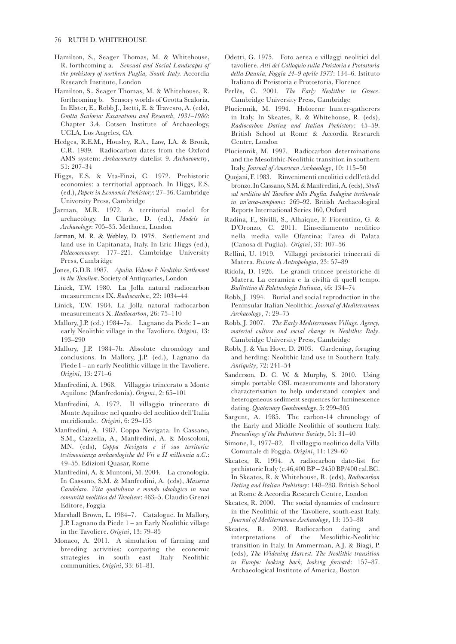- Hamilton, S., Seager Thomas, M. & Whitehouse, R. forthcoming a. *Sensual and Social Landscapes of the prehistory of northern Puglia, South Italy.* Accordia Research Institute, London
- Hamilton, S., Seager Thomas, M. & Whitehouse, R. forthcoming b. Sensory worlds of Grotta Scaloria. In Elster, E., Robb J., Isetti, E. & Travesro, A. (eds), *Grotta Scaloria: Excavations and Research, 1931–1980*: Chapter 3.4. Cotsen Institute of Archaeology, UCLA, Los Angeles, CA
- Hedges, R.E.M., Housley, R.A., Law, I.A. & Bronk, C.R. 1989. Radiocarbon dates from the Oxford AMS system: *Archaeometry* datelist 9. *Archaeometry*, 31: 207–34
- Higgs, E.S. & Vta-Finzi, C. 1972. Prehistoric economies: a territorial approach. In Higgs, E.S. (ed.), *Papers in Economic Prehistory*: 27–36. Cambridge University Press, Cambridge
- Jarman, M.R. 1972. A territorial model for archaeology. In Clarhe, D. (ed.), *Models in Archaeology*: 705–35. Methuen, London
- Jarman, M. R. & Webley, D. 1975. Settlement and land use in Capitanata, Italy. In Eric Higgs (ed.), *Palaeoeconomy*: 177–221. Cambridge University Press, Cambridge
- Jones, G.D.B. 1987. *Apulia. Volume I: Neolithic Settlement in the Tavoliere*. Society of Antiquaries, London
- Linick, T.W. 1980. La Jolla natural radiocarbon measurements IX. *Radiocarbon*, 22: 1034–44
- Linick, T.W. 1984. La Jolla natural radiocarbon measurements X. *Radiocarbon*, 26: 75–110
- Mallory, J.P. (ed.) 1984–7a. Lagnano da Piede I an early Neolithic village in the Tavoliere. *Origini*, 13: 193–290
- Mallory, J.P. 1984–7b. Absolute chronology and conclusions. In Mallory, J.P. (ed.), Lagnano da Piede I – an early Neolithic village in the Tavoliere. *Origini*, 13: 271–6
- Manfredini, A. 1968. Villaggio trincerato a Monte Aquilone (Manfredonia). *Origini*, 2: 65–101
- Manfredini, A. 1972. Il villaggio trincerato di Monte Aquilone nel quadro del neolitico dell'Italia meridionale. *Origini*, 6: 29–153
- Manfredini, A. 1987. Coppa Nevigata. In Cassano, S.M., Cazzella, A., Manfredini, A. & Moscoloni, MN. (eds), *Coppa Nevigata e il suo territorio: testimonianza archaeologiche del Vii a II millennia a.C*.: 49–55. Edizioni Quasar, Rome
- Manfredini, A. & Muntoni, M. 2004. La cronologia. In Cassano, S.M. & Manfredini, A. (eds), *Masseria Candelaro. Vita quotidiana e mondo ideologico in una comunità neolitica del Tavoliere*: 463–5. Claudio Grenzi Editore, Foggia
- Marshall Brown, L. 1984–7. Catalogue. In Mallory, J.P. Lagnano da Piede 1 – an Early Neolithic village in the Tavoliere. *Origini*, 13: 79–85
- Monaco, A. 2011. A simulation of farming and breeding activities: comparing the economic strategies in south east Italy Neolithic communities. *Origini*, 33: 61–81.
- Odetti, G. 1975. Foto aerea e villaggi neolitici del tavoliere. *Atti del Colloquio sulla Preistoria e Protostoria della Daunia, Foggia 24–9 aprile 1973*: 134–6. Istituto Italiano di Preistoria e Protostoria, Florence
- Perlès, C. 2001. *The Early Neolithic in Greece*. Cambridge University Press, Cambridge
- Pluciennik, M. 1994. Holocene hunter-gatherers in Italy. In Skeates, R. & Whitehouse, R. (eds), *Radiocarbon Dating and Italian Prehistory*: 45–59. British School at Rome & Accordia Research Centre, London
- Pluciennik, M. 1997. Radiocarbon determinations and the Mesolithic-Neolithic transition in southern Italy. *Journal of American Archaeology*, 10: 115–50
- Quojani, F. 1983. Rinvenimenti eneolitici e dell'età del bronzo. In Cassano, S.M. & Manfredini, A. (eds), *Studi sul neolitico del Tavoliere della Puglia. Indagine territoriale in un'area-campion*e: 269–92. British Archaeological Reports International Series 160, Oxford
- Radina, F., Sivilli, S., Alhaique, F. Fiorentino, G. & D'Oronzo, C. 2011. L'insediamento neolitico nella media valle Ofantina: l'area di Palata (Canosa di Puglia). *Origini*, 33: 107–56
- Rellini, U. 1919. Villaggi preistorici trincerati di Matera. *Rivista di Antropologia*, 23: 57–89
- Ridola, D. 1926. Le grandi trincee preistoriche di Matera. La ceramica e la civiltà di quell tempo. *Bullettino di Paletnologia Italiana*, 46: 134–74
- Robb, J. 1994. Burial and social reproduction in the Peninsular Italian Neolithic. *Journal of Mediterranean Archaeology*, 7: 29–75
- Robb, J. 2007. *The Early Mediterranean Village. Agency, material culture and social change in Neolithic Italy*. Cambridge University Press, Cambridge
- Robb, J. & Van Hove, D. 2003. Gardening, foraging and herding: Neolithic land use in Southern Italy. *Antiquity*, 72: 241–54
- Sanderson, D. C. W. & Murphy, S. 2010. Using simple portable OSL measurements and laboratory characterisation to help understand complex and heterogeneous sediment sequences for luminescence dating. *Quaternary Geochronology*, 5: 299–305
- Sargent, A. 1985. The carbon-14 chronology of the Early and Middle Neolithic of southern Italy. *Proceedings of the Prehistoric Society*, 51: 31–40
- Simone, L, 1977–82. Il villaggio neolitico della Villa Comunale di Foggia. *Origini*, 11: 129–60
- Skeates, R. 1994. A radiocarbon date-list for prehistoric Italy (c.46,400 BP – 2450 BP/400 cal.BC. In Skeates, R. & Whitehouse, R. (eds), *Radiocarbon Dating and Italian Prehistory*: 148–288. British School at Rome & Accordia Research Centre, London
- Skeates, R. 2000. The social dynamics of enclosure in the Neolithic of the Tavoliere, south-east Italy. *Journal of Mediterranean Archaeology*, 13: 155–88
- Skeates, R. 2003. Radiocarbon dating and interpretations of the Mesolithic-Neolithic transition in Italy. In Ammerman, A.J. & Biagi, P. (eds), *The Widening Harvest. The Neolithic transition in Europe: looking back, looking forward*: 157–87. Archaeological Institute of America, Boston